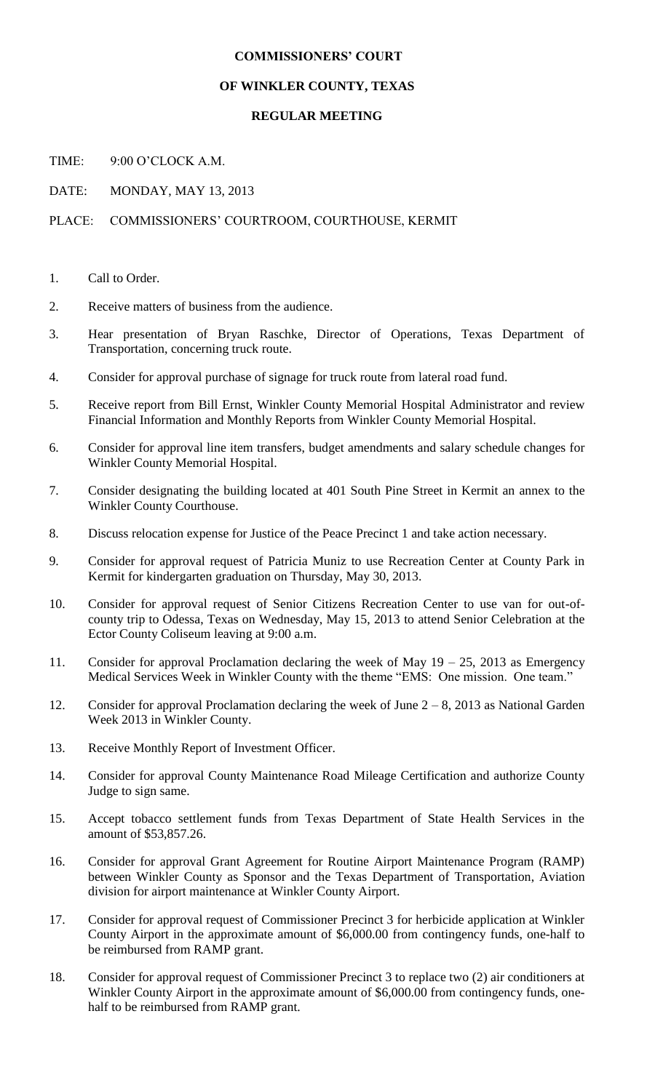## **COMMISSIONERS' COURT**

## **OF WINKLER COUNTY, TEXAS**

## **REGULAR MEETING**

TIME: 9:00 O'CLOCK A.M.

DATE: MONDAY, MAY 13, 2013

## PLACE: COMMISSIONERS' COURTROOM, COURTHOUSE, KERMIT

- 1. Call to Order.
- 2. Receive matters of business from the audience.
- 3. Hear presentation of Bryan Raschke, Director of Operations, Texas Department of Transportation, concerning truck route.
- 4. Consider for approval purchase of signage for truck route from lateral road fund.
- 5. Receive report from Bill Ernst, Winkler County Memorial Hospital Administrator and review Financial Information and Monthly Reports from Winkler County Memorial Hospital.
- 6. Consider for approval line item transfers, budget amendments and salary schedule changes for Winkler County Memorial Hospital.
- 7. Consider designating the building located at 401 South Pine Street in Kermit an annex to the Winkler County Courthouse.
- 8. Discuss relocation expense for Justice of the Peace Precinct 1 and take action necessary.
- 9. Consider for approval request of Patricia Muniz to use Recreation Center at County Park in Kermit for kindergarten graduation on Thursday, May 30, 2013.
- 10. Consider for approval request of Senior Citizens Recreation Center to use van for out-ofcounty trip to Odessa, Texas on Wednesday, May 15, 2013 to attend Senior Celebration at the Ector County Coliseum leaving at 9:00 a.m.
- 11. Consider for approval Proclamation declaring the week of May 19 25, 2013 as Emergency Medical Services Week in Winkler County with the theme "EMS: One mission. One team."
- 12. Consider for approval Proclamation declaring the week of June  $2 8$ , 2013 as National Garden Week 2013 in Winkler County.
- 13. Receive Monthly Report of Investment Officer.
- 14. Consider for approval County Maintenance Road Mileage Certification and authorize County Judge to sign same.
- 15. Accept tobacco settlement funds from Texas Department of State Health Services in the amount of \$53,857.26.
- 16. Consider for approval Grant Agreement for Routine Airport Maintenance Program (RAMP) between Winkler County as Sponsor and the Texas Department of Transportation, Aviation division for airport maintenance at Winkler County Airport.
- 17. Consider for approval request of Commissioner Precinct 3 for herbicide application at Winkler County Airport in the approximate amount of \$6,000.00 from contingency funds, one-half to be reimbursed from RAMP grant.
- 18. Consider for approval request of Commissioner Precinct 3 to replace two (2) air conditioners at Winkler County Airport in the approximate amount of \$6,000.00 from contingency funds, onehalf to be reimbursed from RAMP grant.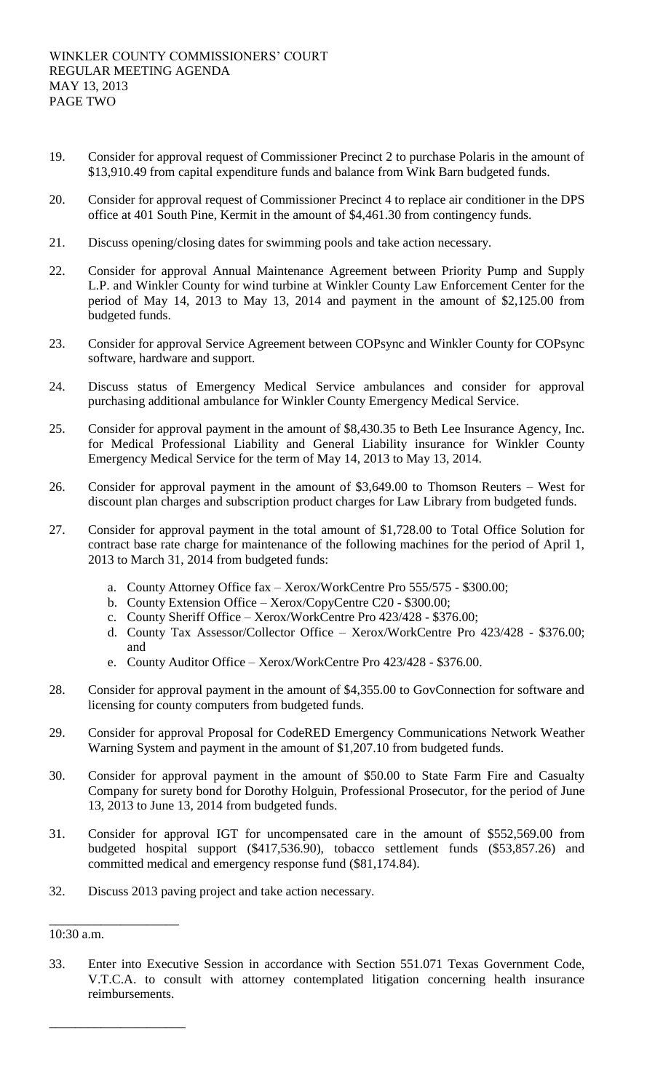- 19. Consider for approval request of Commissioner Precinct 2 to purchase Polaris in the amount of \$13,910.49 from capital expenditure funds and balance from Wink Barn budgeted funds.
- 20. Consider for approval request of Commissioner Precinct 4 to replace air conditioner in the DPS office at 401 South Pine, Kermit in the amount of \$4,461.30 from contingency funds.
- 21. Discuss opening/closing dates for swimming pools and take action necessary.
- 22. Consider for approval Annual Maintenance Agreement between Priority Pump and Supply L.P. and Winkler County for wind turbine at Winkler County Law Enforcement Center for the period of May 14, 2013 to May 13, 2014 and payment in the amount of \$2,125.00 from budgeted funds.
- 23. Consider for approval Service Agreement between COPsync and Winkler County for COPsync software, hardware and support.
- 24. Discuss status of Emergency Medical Service ambulances and consider for approval purchasing additional ambulance for Winkler County Emergency Medical Service.
- 25. Consider for approval payment in the amount of \$8,430.35 to Beth Lee Insurance Agency, Inc. for Medical Professional Liability and General Liability insurance for Winkler County Emergency Medical Service for the term of May 14, 2013 to May 13, 2014.
- 26. Consider for approval payment in the amount of \$3,649.00 to Thomson Reuters West for discount plan charges and subscription product charges for Law Library from budgeted funds.
- 27. Consider for approval payment in the total amount of \$1,728.00 to Total Office Solution for contract base rate charge for maintenance of the following machines for the period of April 1, 2013 to March 31, 2014 from budgeted funds:
	- a. County Attorney Office fax Xerox/WorkCentre Pro 555/575 \$300.00;
	- b. County Extension Office Xerox/CopyCentre C20 \$300.00;
	- c. County Sheriff Office Xerox/WorkCentre Pro 423/428 \$376.00;
	- d. County Tax Assessor/Collector Office Xerox/WorkCentre Pro 423/428 \$376.00; and
	- e. County Auditor Office Xerox/WorkCentre Pro 423/428 \$376.00.
- 28. Consider for approval payment in the amount of \$4,355.00 to GovConnection for software and licensing for county computers from budgeted funds.
- 29. Consider for approval Proposal for CodeRED Emergency Communications Network Weather Warning System and payment in the amount of \$1,207.10 from budgeted funds.
- 30. Consider for approval payment in the amount of \$50.00 to State Farm Fire and Casualty Company for surety bond for Dorothy Holguin, Professional Prosecutor, for the period of June 13, 2013 to June 13, 2014 from budgeted funds.
- 31. Consider for approval IGT for uncompensated care in the amount of \$552,569.00 from budgeted hospital support (\$417,536.90), tobacco settlement funds (\$53,857.26) and committed medical and emergency response fund (\$81,174.84).
- 32. Discuss 2013 paving project and take action necessary.

\_\_\_\_\_\_\_\_\_\_\_\_\_\_\_\_\_\_\_\_

\_\_\_\_\_\_\_\_\_\_\_\_\_\_\_\_\_\_\_\_\_

33. Enter into Executive Session in accordance with Section 551.071 Texas Government Code, V.T.C.A. to consult with attorney contemplated litigation concerning health insurance reimbursements.

<sup>10:30</sup> a.m.